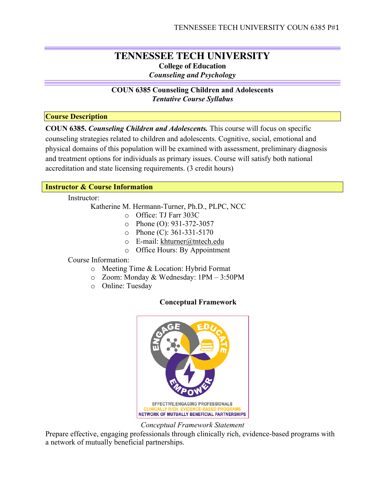## **TENNESSEE TECH UNIVERSITY College of Education** *Counseling and Psychology*

#### **COUN 6385 Counseling Children and Adolescents** *Tentative Course Syllabus*

#### **Course Description**

**COUN 6385.** *Counseling Children and Adolescents.* This course will focus on specific counseling strategies related to children and adolescents. Cognitive, social, emotional and physical domains of this population will be examined with assessment, preliminary diagnosis and treatment options for individuals as primary issues. Course will satisfy both national accreditation and state licensing requirements. (3 credit hours)

### **Instructor & Course Information**

Instructor:

Katherine M. Hermann-Turner, Ph.D., PLPC, NCC

- o Office: TJ Farr 303C
- o Phone (O): 931-372-3057
- $\circ$  Phone (C): 361-331-5170
- o E-mail: khturner@tntech.edu
- o Office Hours: By Appointment

Course Information:

- o Meeting Time & Location: Hybrid Format
- o Zoom: Monday & Wednesday: 1PM 3:50PM
- o Online: Tuesday

### **Conceptual Framework**



*Conceptual Framework Statement*

Prepare effective, engaging professionals through clinically rich, evidence-based programs with a network of mutually beneficial partnerships.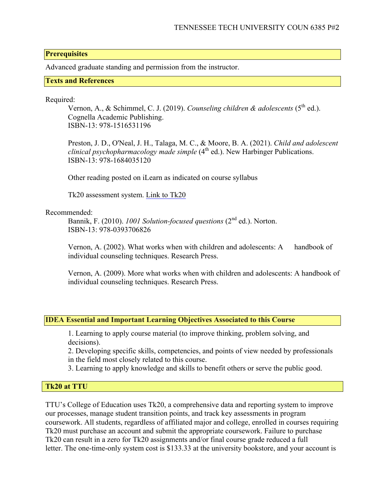#### **Prerequisites**

Advanced graduate standing and permission from the instructor.

#### **Texts and References**

#### Required:

Vernon, A., & Schimmel, C. J. (2019). *Counseling children & adolescents* ( $5<sup>th</sup>$  ed.). Cognella Academic Publishing. ISBN-13: 978-1516531196

Preston, J. D., O'Neal, J. H., Talaga, M. C., & Moore, B. A. (2021). *Child and adolescent clinical psychopharmacology made simple* (4<sup>th</sup> ed.). New Harbinger Publications. ISBN-13: 978-1684035120

Other reading posted on iLearn as indicated on course syllabus

Tk20 assessment system. Link to Tk20

#### Recommended:

Bannik, F. (2010). *1001 Solution-focused questions* (2<sup>nd</sup> ed.). Norton. ISBN-13: 978-0393706826

Vernon, A. (2002). What works when with children and adolescents: A handbook of individual counseling techniques. Research Press.

Vernon, A. (2009). More what works when with children and adolescents: A handbook of individual counseling techniques. Research Press.

**IDEA Essential and Important Learning Objectives Associated to this Course**

1. Learning to apply course material (to improve thinking, problem solving, and decisions).

2. Developing specific skills, competencies, and points of view needed by professionals in the field most closely related to this course.

3. Learning to apply knowledge and skills to benefit others or serve the public good.

#### **Tk20 at TTU**

TTU's College of Education uses Tk20, a comprehensive data and reporting system to improve our processes, manage student transition points, and track key assessments in program coursework. All students, regardless of affiliated major and college, enrolled in courses requiring Tk20 must purchase an account and submit the appropriate coursework. Failure to purchase Tk20 can result in a zero for Tk20 assignments and/or final course grade reduced a full letter. The one-time-only system cost is \$133.33 at the university bookstore, and your account is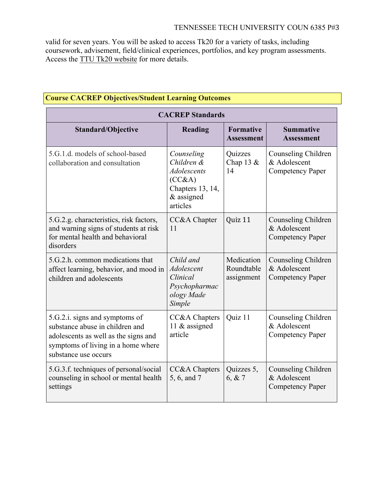valid for seven years. You will be asked to access Tk20 for a variety of tasks, including coursework, advisement, field/clinical experiences, portfolios, and key program assessments. Access the TTU Tk20 website for more details.

| <b>CACREP</b> Standards                                                                                                                                                 |                                                                                                          |                                        |                                                                |
|-------------------------------------------------------------------------------------------------------------------------------------------------------------------------|----------------------------------------------------------------------------------------------------------|----------------------------------------|----------------------------------------------------------------|
| <b>Standard/Objective</b>                                                                                                                                               | <b>Reading</b>                                                                                           | <b>Formative</b><br><b>Assessment</b>  | <b>Summative</b><br><b>Assessment</b>                          |
| 5.G.1.d. models of school-based<br>collaboration and consultation                                                                                                       | Counseling<br>Children &<br><b>Adolescents</b><br>(CC&A)<br>Chapters 13, 14,<br>$&$ assigned<br>articles | Quizzes<br>Chap 13 $&$<br>14           | Counseling Children<br>& Adolescent<br><b>Competency Paper</b> |
| 5.G.2.g. characteristics, risk factors,<br>and warning signs of students at risk<br>for mental health and behavioral<br>disorders                                       | CC&A Chapter<br>11                                                                                       | Quiz 11                                | Counseling Children<br>& Adolescent<br><b>Competency Paper</b> |
| 5.G.2.h. common medications that<br>affect learning, behavior, and mood in<br>children and adolescents                                                                  | Child and<br>Adolescent<br>Clinical<br>Psychopharmac<br>ology Made<br>Simple                             | Medication<br>Roundtable<br>assignment | Counseling Children<br>& Adolescent<br><b>Competency Paper</b> |
| 5.G.2.i. signs and symptoms of<br>substance abuse in children and<br>adolescents as well as the signs and<br>symptoms of living in a home where<br>substance use occurs | CC&A Chapters<br>11 & assigned<br>article                                                                | Quiz 11                                | Counseling Children<br>& Adolescent<br><b>Competency Paper</b> |
| 5.G.3.f. techniques of personal/social<br>counseling in school or mental health<br>settings                                                                             | CC&A Chapters<br>5, 6, and 7                                                                             | Quizzes 5,<br>6, & 7                   | Counseling Children<br>& Adolescent<br><b>Competency Paper</b> |

## **Course CACREP Objectives/Student Learning Outcomes**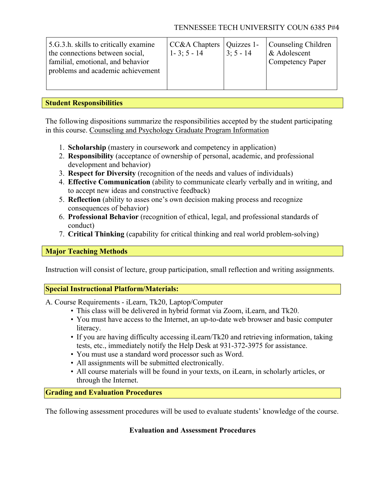| 5.G.3.h. skills to critically examine<br>the connections between social,<br>familial, emotional, and behavior<br>problems and academic achievement | CC&A Chapters   Quizzes 1-<br>$1 - 3$ ; 5 - 14 | $3:5 - 14$ | Counseling Children<br>$\&$ Adolescent<br>Competency Paper |
|----------------------------------------------------------------------------------------------------------------------------------------------------|------------------------------------------------|------------|------------------------------------------------------------|
|----------------------------------------------------------------------------------------------------------------------------------------------------|------------------------------------------------|------------|------------------------------------------------------------|

#### **Student Responsibilities**

The following dispositions summarize the responsibilities accepted by the student participating in this course. Counseling and Psychology Graduate Program Information

- 1. **Scholarship** (mastery in coursework and competency in application)
- 2. **Responsibility** (acceptance of ownership of personal, academic, and professional development and behavior)
- 3. **Respect for Diversity** (recognition of the needs and values of individuals)
- 4. **Effective Communication** (ability to communicate clearly verbally and in writing, and to accept new ideas and constructive feedback)
- 5. **Reflection** (ability to asses one's own decision making process and recognize consequences of behavior)
- 6. **Professional Behavior** (recognition of ethical, legal, and professional standards of conduct)
- 7. **Critical Thinking** (capability for critical thinking and real world problem-solving)

### **Major Teaching Methods**

Instruction will consist of lecture, group participation, small reflection and writing assignments.

### **Special Instructional Platform/Materials:**

A. Course Requirements - iLearn, Tk20, Laptop/Computer

- This class will be delivered in hybrid format via Zoom, iLearn, and Tk20.
- You must have access to the Internet, an up-to-date web browser and basic computer literacy.
- If you are having difficulty accessing iLearn/Tk20 and retrieving information, taking tests, etc., immediately notify the Help Desk at 931-372-3975 for assistance.
- You must use a standard word processor such as Word.
- All assignments will be submitted electronically.
- All course materials will be found in your texts, on iLearn, in scholarly articles, or through the Internet.

### **Grading and Evaluation Procedures**

The following assessment procedures will be used to evaluate students' knowledge of the course.

## **Evaluation and Assessment Procedures**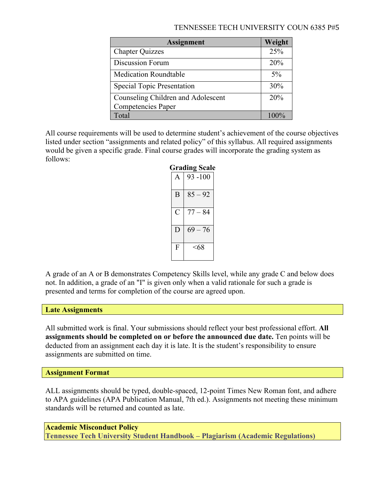| <b>Assignment</b>                  | Weight |
|------------------------------------|--------|
| <b>Chapter Quizzes</b>             | 25%    |
| Discussion Forum                   | 20%    |
| <b>Medication Roundtable</b>       | $5\%$  |
| <b>Special Topic Presentation</b>  | 30%    |
| Counseling Children and Adolescent | 20%    |
| Competencies Paper                 |        |
| Total                              | 100%   |

All course requirements will be used to determine student's achievement of the course objectives listed under section "assignments and related policy" of this syllabus. All required assignments would be given a specific grade. Final course grades will incorporate the grading system as follows:

|   | <b>Grading Scale</b> |
|---|----------------------|
| A | $93 - 100$           |
| B | $85 - 92$            |
| C | $77 - 84$            |
| D | $69 - 76$            |
| F | <68                  |

A grade of an A or B demonstrates Competency Skills level, while any grade C and below does not. In addition, a grade of an "I" is given only when a valid rationale for such a grade is presented and terms for completion of the course are agreed upon.

#### **Late Assignments**

All submitted work is final. Your submissions should reflect your best professional effort. **All assignments should be completed on or before the announced due date.** Ten points will be deducted from an assignment each day it is late. It is the student's responsibility to ensure assignments are submitted on time.

#### **Assignment Format**

ALL assignments should be typed, double-spaced, 12-point Times New Roman font, and adhere to APA guidelines (APA Publication Manual, 7th ed.). Assignments not meeting these minimum standards will be returned and counted as late.

**Academic Misconduct Policy Tennessee Tech University Student Handbook – Plagiarism (Academic Regulations)**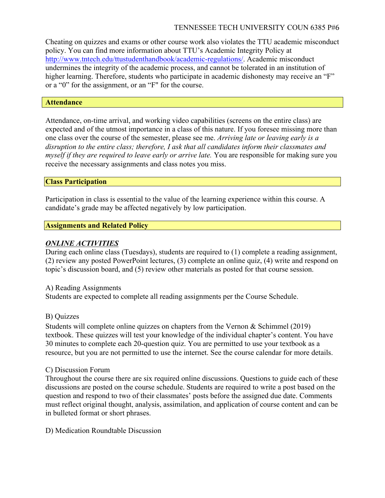Cheating on quizzes and exams or other course work also violates the TTU academic misconduct policy. You can find more information about TTU's Academic Integrity Policy at http://www.tntech.edu/ttustudenthandbook/academic-regulations/. Academic misconduct undermines the integrity of the academic process, and cannot be tolerated in an institution of higher learning. Therefore, students who participate in academic dishonesty may receive an "F" or a "0" for the assignment, or an "F" for the course.

#### **Attendance**

Attendance, on-time arrival, and working video capabilities (screens on the entire class) are expected and of the utmost importance in a class of this nature. If you foresee missing more than one class over the course of the semester, please see me. *Arriving late or leaving early is a disruption to the entire class; therefore, I ask that all candidates inform their classmates and myself if they are required to leave early or arrive late.* You are responsible for making sure you receive the necessary assignments and class notes you miss.

#### **Class Participation**

Participation in class is essential to the value of the learning experience within this course. A candidate's grade may be affected negatively by low participation.

#### **Assignments and Related Policy**

#### *ONLINE ACTIVITIES*

During each online class (Tuesdays), students are required to (1) complete a reading assignment, (2) review any posted PowerPoint lectures, (3) complete an online quiz, (4) write and respond on topic's discussion board, and (5) review other materials as posted for that course session.

#### A) Reading Assignments

Students are expected to complete all reading assignments per the Course Schedule.

#### B) Quizzes

Students will complete online quizzes on chapters from the Vernon & Schimmel (2019) textbook. These quizzes will test your knowledge of the individual chapter's content. You have 30 minutes to complete each 20-question quiz. You are permitted to use your textbook as a resource, but you are not permitted to use the internet. See the course calendar for more details.

#### C) Discussion Forum

Throughout the course there are six required online discussions. Questions to guide each of these discussions are posted on the course schedule. Students are required to write a post based on the question and respond to two of their classmates' posts before the assigned due date. Comments must reflect original thought, analysis, assimilation, and application of course content and can be in bulleted format or short phrases.

D) Medication Roundtable Discussion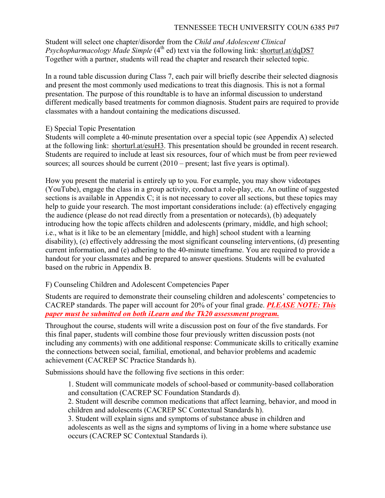Student will select one chapter/disorder from the *Child and Adolescent Clinical Psychopharmacology Made Simple* (4<sup>th</sup> ed) text via the following link: shorturl.at/dqDS7 Together with a partner, students will read the chapter and research their selected topic.

In a round table discussion during Class 7, each pair will briefly describe their selected diagnosis and present the most commonly used medications to treat this diagnosis. This is not a formal presentation. The purpose of this roundtable is to have an informal discussion to understand different medically based treatments for common diagnosis. Student pairs are required to provide classmates with a handout containing the medications discussed.

E) Special Topic Presentation

Students will complete a 40-minute presentation over a special topic (see Appendix A) selected at the following link: shorturl.at/esuH3. This presentation should be grounded in recent research. Students are required to include at least six resources, four of which must be from peer reviewed sources; all sources should be current (2010 – present; last five years is optimal).

How you present the material is entirely up to you. For example, you may show videotapes (YouTube), engage the class in a group activity, conduct a role-play, etc. An outline of suggested sections is available in Appendix C; it is not necessary to cover all sections, but these topics may help to guide your research. The most important considerations include: (a) effectively engaging the audience (please do not read directly from a presentation or notecards), (b) adequately introducing how the topic affects children and adolescents (primary, middle, and high school; i.e., what is it like to be an elementary [middle, and high] school student with a learning disability), (c) effectively addressing the most significant counseling interventions, (d) presenting current information, and (e) adhering to the 40-minute timeframe. You are required to provide a handout for your classmates and be prepared to answer questions. Students will be evaluated based on the rubric in Appendix B.

### F) Counseling Children and Adolescent Competencies Paper

Students are required to demonstrate their counseling children and adolescents' competencies to CACREP standards. The paper will account for 20% of your final grade. *PLEASE NOTE: This paper must be submitted on both iLearn and the Tk20 assessment program.*

Throughout the course, students will write a discussion post on four of the five standards. For this final paper, students will combine those four previously written discussion posts (not including any comments) with one additional response: Communicate skills to critically examine the connections between social, familial, emotional, and behavior problems and academic achievement (CACREP SC Practice Standards h).

Submissions should have the following five sections in this order:

1. Student will communicate models of school-based or community-based collaboration and consultation (CACREP SC Foundation Standards d).

2. Student will describe common medications that affect learning, behavior, and mood in children and adolescents (CACREP SC Contextual Standards h).

3. Student will explain signs and symptoms of substance abuse in children and adolescents as well as the signs and symptoms of living in a home where substance use occurs (CACREP SC Contextual Standards i).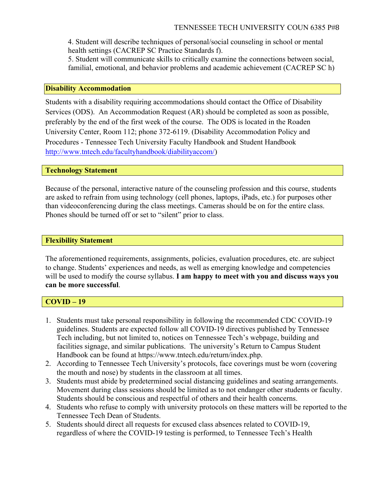4. Student will describe techniques of personal/social counseling in school or mental health settings (CACREP SC Practice Standards f).

5. Student will communicate skills to critically examine the connections between social, familial, emotional, and behavior problems and academic achievement (CACREP SC h)

#### **Disability Accommodation**

Students with a disability requiring accommodations should contact the Office of Disability Services (ODS). An Accommodation Request (AR) should be completed as soon as possible, preferably by the end of the first week of the course. The ODS is located in the Roaden University Center, Room 112; phone 372-6119. (Disability Accommodation Policy and Procedures - Tennessee Tech University Faculty Handbook and Student Handbook http://www.tntech.edu/facultyhandbook/diabilityaccom/)

#### **Technology Statement**

Because of the personal, interactive nature of the counseling profession and this course, students are asked to refrain from using technology (cell phones, laptops, iPads, etc.) for purposes other than videoconferencing during the class meetings. Cameras should be on for the entire class. Phones should be turned off or set to "silent" prior to class.

#### **Flexibility Statement**

The aforementioned requirements, assignments, policies, evaluation procedures, etc. are subject to change. Students' experiences and needs, as well as emerging knowledge and competencies will be used to modify the course syllabus. **I am happy to meet with you and discuss ways you can be more successful**.

### **COVID – 19**

- 1. Students must take personal responsibility in following the recommended CDC COVID-19 guidelines. Students are expected follow all COVID-19 directives published by Tennessee Tech including, but not limited to, notices on Tennessee Tech's webpage, building and facilities signage, and similar publications. The university's Return to Campus Student Handbook can be found at https://www.tntech.edu/return/index.php.
- 2. According to Tennessee Tech University's protocols, face coverings must be worn (covering the mouth and nose) by students in the classroom at all times.
- 3. Students must abide by predetermined social distancing guidelines and seating arrangements. Movement during class sessions should be limited as to not endanger other students or faculty. Students should be conscious and respectful of others and their health concerns.
- 4. Students who refuse to comply with university protocols on these matters will be reported to the Tennessee Tech Dean of Students.
- 5. Students should direct all requests for excused class absences related to COVID-19, regardless of where the COVID-19 testing is performed, to Tennessee Tech's Health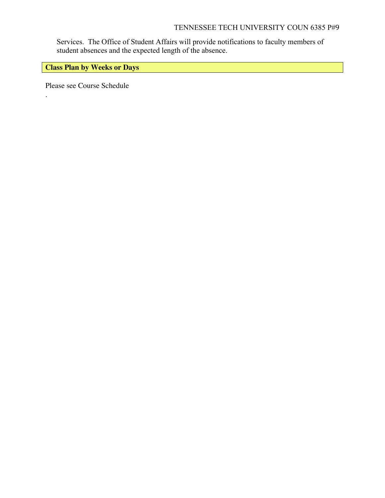Services. The Office of Student Affairs will provide notifications to faculty members of student absences and the expected length of the absence.

# **Class Plan by Weeks or Days**

Please see Course Schedule

.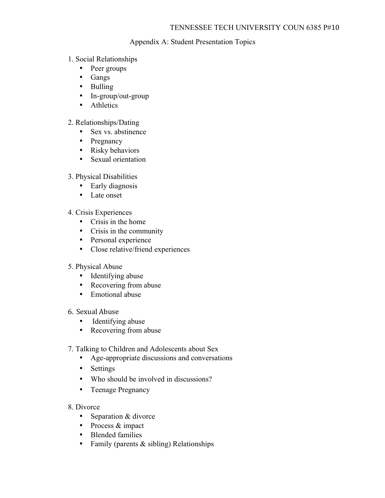### Appendix A: Student Presentation Topics

- 1. Social Relationships
	- Peer groups
	- Gangs
	- Bulling
	- In-group/out-group
	- Athletics

## 2. Relationships/Dating

- Sex vs. abstinence
- Pregnancy
- Risky behaviors
- Sexual orientation
- 3. Physical Disabilities
	- Early diagnosis
	- Late onset
- 4. Crisis Experiences
	- Crisis in the home
	- Crisis in the community
	- Personal experience
	- Close relative/friend experiences
- 5. Physical Abuse
	- Identifying abuse
	- Recovering from abuse
	- Emotional abuse
- 6. Sexual Abuse
	- Identifying abuse
	- Recovering from abuse
- 7. Talking to Children and Adolescents about Sex
	- Age-appropriate discussions and conversations
	- Settings
	- Who should be involved in discussions?
	- Teenage Pregnancy

### 8. Divorce

- Separation & divorce
- Process & impact
- Blended families
- Family (parents & sibling) Relationships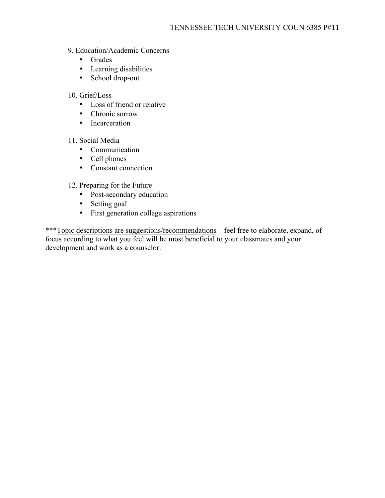- 9. Education/Academic Concerns
	- Grades
	- Learning disabilities
	- School drop-out

### 10. Grief/Loss

- Loss of friend or relative
- Chronic sorrow
- Incarceration

### 11. Social Media

- Communication
- Cell phones
- Constant connection
- 12. Preparing for the Future
	- Post-secondary education
	- Setting goal
	- First generation college aspirations

\*\*\*Topic descriptions are suggestions/recommendations – feel free to elaborate, expand, of focus according to what you feel will be most beneficial to your classmates and your development and work as a counselor.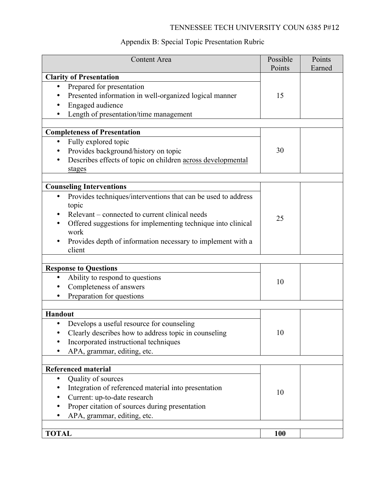# Appendix B: Special Topic Presentation Rubric

| <b>Content Area</b>                                              | Possible<br>Points | Points<br>Earned |
|------------------------------------------------------------------|--------------------|------------------|
| <b>Clarity of Presentation</b>                                   |                    |                  |
| Prepared for presentation<br>$\bullet$                           |                    |                  |
| Presented information in well-organized logical manner           | 15                 |                  |
| Engaged audience                                                 |                    |                  |
| Length of presentation/time management                           |                    |                  |
|                                                                  |                    |                  |
| <b>Completeness of Presentation</b>                              |                    |                  |
| Fully explored topic                                             |                    |                  |
| Provides background/history on topic                             | 30                 |                  |
| Describes effects of topic on children across developmental      |                    |                  |
| stages                                                           |                    |                  |
| <b>Counseling Interventions</b>                                  |                    |                  |
| Provides techniques/interventions that can be used to address    |                    |                  |
| topic                                                            |                    |                  |
| Relevant – connected to current clinical needs                   |                    |                  |
| Offered suggestions for implementing technique into clinical     | 25                 |                  |
| work                                                             |                    |                  |
| Provides depth of information necessary to implement with a<br>٠ |                    |                  |
| client                                                           |                    |                  |
|                                                                  |                    |                  |
| <b>Response to Questions</b>                                     |                    |                  |
| Ability to respond to questions                                  | 10                 |                  |
| Completeness of answers                                          |                    |                  |
| Preparation for questions                                        |                    |                  |
|                                                                  |                    |                  |
| <b>Handout</b>                                                   |                    |                  |
| Develops a useful resource for counseling<br>٠                   |                    |                  |
| Clearly describes how to address topic in counseling             | 10                 |                  |
| Incorporated instructional techniques                            |                    |                  |
| APA, grammar, editing, etc.                                      |                    |                  |
| <b>Referenced material</b>                                       |                    |                  |
| Quality of sources                                               |                    |                  |
| Integration of referenced material into presentation             | 10                 |                  |
| Current: up-to-date research                                     |                    |                  |
| Proper citation of sources during presentation                   |                    |                  |
| APA, grammar, editing, etc.                                      |                    |                  |
|                                                                  |                    |                  |
| <b>TOTAL</b>                                                     | <b>100</b>         |                  |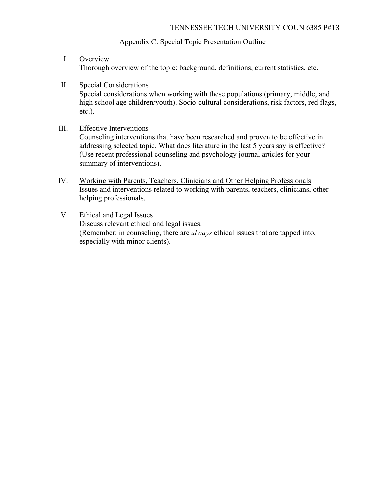### Appendix C: Special Topic Presentation Outline

#### I. Overview Thorough overview of the topic: background, definitions, current statistics, etc.

#### II. Special Considerations

Special considerations when working with these populations (primary, middle, and high school age children/youth). Socio-cultural considerations, risk factors, red flags, etc.).

#### III. Effective Interventions

Counseling interventions that have been researched and proven to be effective in addressing selected topic. What does literature in the last 5 years say is effective? (Use recent professional counseling and psychology journal articles for your summary of interventions).

- IV. Working with Parents, Teachers, Clinicians and Other Helping Professionals Issues and interventions related to working with parents, teachers, clinicians, other helping professionals.
- V. Ethical and Legal Issues Discuss relevant ethical and legal issues. (Remember: in counseling, there are *always* ethical issues that are tapped into, especially with minor clients).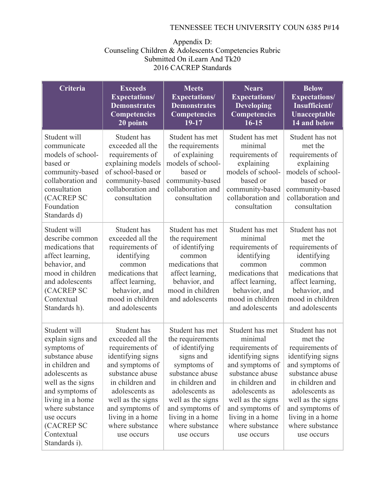#### Appendix D: Counseling Children & Adolescents Competencies Rubric Submitted On iLearn And Tk20 2016 CACREP Standards

| Criteria                                                                                                                                                                                                                                           | <b>Exceeds</b><br><b>Expectations/</b><br><b>Demonstrates</b><br><b>Competencies</b><br>20 points                                                                                                                                               | <b>Meets</b><br><b>Expectations/</b><br><b>Demonstrates</b><br><b>Competencies</b><br>19-17                                                                                                                                            | <b>Nears</b><br><b>Expectations/</b><br><b>Developing</b><br><b>Competencies</b><br>$16-15$                                                                                                                                                | <b>Below</b><br><b>Expectations/</b><br>Insufficient/<br>Unacceptable<br>14 and below                                                                                                                                                      |
|----------------------------------------------------------------------------------------------------------------------------------------------------------------------------------------------------------------------------------------------------|-------------------------------------------------------------------------------------------------------------------------------------------------------------------------------------------------------------------------------------------------|----------------------------------------------------------------------------------------------------------------------------------------------------------------------------------------------------------------------------------------|--------------------------------------------------------------------------------------------------------------------------------------------------------------------------------------------------------------------------------------------|--------------------------------------------------------------------------------------------------------------------------------------------------------------------------------------------------------------------------------------------|
| Student will<br>communicate<br>models of school-<br>based or<br>community-based<br>collaboration and<br>consultation<br>(CACREP SC<br>Foundation<br>Standards d)                                                                                   | Student has<br>exceeded all the<br>requirements of<br>explaining models<br>of school-based or<br>community-based<br>collaboration and<br>consultation                                                                                           | Student has met<br>the requirements<br>of explaining<br>models of school-<br>based or<br>community-based<br>collaboration and<br>consultation                                                                                          | Student has met<br>minimal<br>requirements of<br>explaining<br>models of school-<br>based or<br>community-based<br>collaboration and<br>consultation                                                                                       | Student has not<br>met the<br>requirements of<br>explaining<br>models of school-<br>based or<br>community-based<br>collaboration and<br>consultation                                                                                       |
| Student will<br>describe common<br>medications that<br>affect learning,<br>behavior, and<br>mood in children<br>and adolescents<br>(CACREP SC<br>Contextual<br>Standards h).                                                                       | Student has<br>exceeded all the<br>requirements of<br>identifying<br>common<br>medications that<br>affect learning,<br>behavior, and<br>mood in children<br>and adolescents                                                                     | Student has met<br>the requirement<br>of identifying<br>common<br>medications that<br>affect learning,<br>behavior, and<br>mood in children<br>and adolescents                                                                         | Student has met<br>minimal<br>requirements of<br>identifying<br>common<br>medications that<br>affect learning,<br>behavior, and<br>mood in children<br>and adolescents                                                                     | Student has not<br>met the<br>requirements of<br>identifying<br>common<br>medications that<br>affect learning,<br>behavior, and<br>mood in children<br>and adolescents                                                                     |
| Student will<br>explain signs and<br>symptoms of<br>substance abuse<br>in children and<br>adolescents as<br>well as the signs<br>and symptoms of<br>living in a home<br>where substance<br>use occurs<br>(CACREP SC<br>Contextual<br>Standards i). | Student has<br>exceeded all the<br>requirements of<br>identifying signs<br>and symptoms of<br>substance abuse<br>in children and<br>adolescents as<br>well as the signs<br>and symptoms of<br>living in a home<br>where substance<br>use occurs | Student has met<br>the requirements<br>of identifying<br>signs and<br>symptoms of<br>substance abuse<br>in children and<br>adolescents as<br>well as the signs<br>and symptoms of<br>living in a home<br>where substance<br>use occurs | Student has met<br>minimal<br>requirements of<br>identifying signs<br>and symptoms of<br>substance abuse<br>in children and<br>adolescents as<br>well as the signs<br>and symptoms of<br>living in a home<br>where substance<br>use occurs | Student has not<br>met the<br>requirements of<br>identifying signs<br>and symptoms of<br>substance abuse<br>in children and<br>adolescents as<br>well as the signs<br>and symptoms of<br>living in a home<br>where substance<br>use occurs |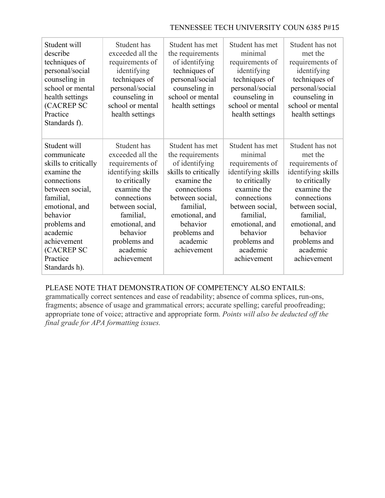| Student will<br>describe<br>techniques of<br>personal/social<br>counseling in<br>school or mental<br>health settings<br>(CACREP SC<br>Practice<br>Standards f).                                                                       | Student has<br>exceeded all the<br>requirements of<br>identifying<br>techniques of<br>personal/social<br>counseling in<br>school or mental<br>health settings                                                                    | Student has met<br>the requirements<br>of identifying<br>techniques of<br>personal/social<br>counseling in<br>school or mental<br>health settings                                                                    | Student has met<br>minimal<br>requirements of<br>identifying<br>techniques of<br>personal/social<br>counseling in<br>school or mental<br>health settings                                                                    | Student has not<br>met the<br>requirements of<br>identifying<br>techniques of<br>personal/social<br>counseling in<br>school or mental<br>health settings                                                                    |
|---------------------------------------------------------------------------------------------------------------------------------------------------------------------------------------------------------------------------------------|----------------------------------------------------------------------------------------------------------------------------------------------------------------------------------------------------------------------------------|----------------------------------------------------------------------------------------------------------------------------------------------------------------------------------------------------------------------|-----------------------------------------------------------------------------------------------------------------------------------------------------------------------------------------------------------------------------|-----------------------------------------------------------------------------------------------------------------------------------------------------------------------------------------------------------------------------|
| Student will<br>communicate<br>skills to critically<br>examine the<br>connections<br>between social,<br>familial,<br>emotional, and<br>behavior<br>problems and<br>academic<br>achievement<br>(CACREP SC<br>Practice<br>Standards h). | Student has<br>exceeded all the<br>requirements of<br>identifying skills<br>to critically<br>examine the<br>connections<br>between social,<br>familial,<br>emotional, and<br>behavior<br>problems and<br>academic<br>achievement | Student has met<br>the requirements<br>of identifying<br>skills to critically<br>examine the<br>connections<br>between social,<br>familial,<br>emotional, and<br>behavior<br>problems and<br>academic<br>achievement | Student has met<br>minimal<br>requirements of<br>identifying skills<br>to critically<br>examine the<br>connections<br>between social,<br>familial,<br>emotional, and<br>behavior<br>problems and<br>academic<br>achievement | Student has not<br>met the<br>requirements of<br>identifying skills<br>to critically<br>examine the<br>connections<br>between social,<br>familial,<br>emotional, and<br>behavior<br>problems and<br>academic<br>achievement |

### PLEASE NOTE THAT DEMONSTRATION OF COMPETENCY ALSO ENTAILS:

grammatically correct sentences and ease of readability; absence of comma splices, run-ons, fragments; absence of usage and grammatical errors; accurate spelling; careful proofreading; appropriate tone of voice; attractive and appropriate form. *Points will also be deducted off the final grade for APA formatting issues.*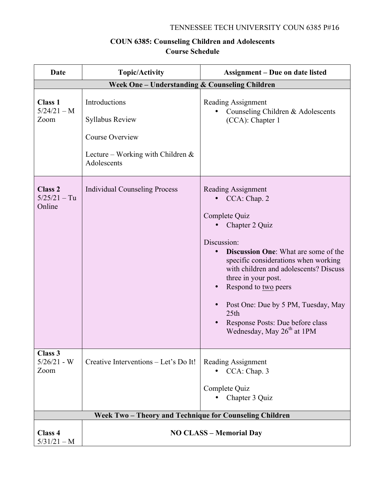# **COUN 6385: Counseling Children and Adolescents Course Schedule**

| Date                                       | <b>Topic/Activity</b>                                                                                                    | <b>Assignment – Due on date listed</b>                                                                                                                                                                                                                                                                                                                                                                         |
|--------------------------------------------|--------------------------------------------------------------------------------------------------------------------------|----------------------------------------------------------------------------------------------------------------------------------------------------------------------------------------------------------------------------------------------------------------------------------------------------------------------------------------------------------------------------------------------------------------|
|                                            | Week One - Understanding & Counseling Children                                                                           |                                                                                                                                                                                                                                                                                                                                                                                                                |
| <b>Class 1</b><br>$5/24/21 - M$<br>Zoom    | Introductions<br><b>Syllabus Review</b><br><b>Course Overview</b><br>Lecture – Working with Children $\&$<br>Adolescents | Reading Assignment<br>Counseling Children & Adolescents<br>(CCA): Chapter 1                                                                                                                                                                                                                                                                                                                                    |
| <b>Class 2</b><br>$5/25/21 - Tu$<br>Online | <b>Individual Counseling Process</b>                                                                                     | Reading Assignment<br>CCA: Chap. 2<br>Complete Quiz<br>Chapter 2 Quiz<br>Discussion:<br><b>Discussion One:</b> What are some of the<br>$\bullet$<br>specific considerations when working<br>with children and adolescents? Discuss<br>three in your post.<br>Respond to two peers<br>Post One: Due by 5 PM, Tuesday, May<br>25th<br>Response Posts: Due before class<br>Wednesday, May 26 <sup>th</sup> at 1PM |
| Class 3<br>$5/26/21$ - W<br>Zoom           | Creative Interventions – Let's Do It!                                                                                    | Reading Assignment<br>$\bullet$ CCA: Chap. 3<br>Complete Quiz<br>Chapter 3 Quiz                                                                                                                                                                                                                                                                                                                                |
|                                            | Week Two - Theory and Technique for Counseling Children                                                                  |                                                                                                                                                                                                                                                                                                                                                                                                                |
| Class 4<br>$5/31/21 - M$                   |                                                                                                                          | <b>NO CLASS - Memorial Day</b>                                                                                                                                                                                                                                                                                                                                                                                 |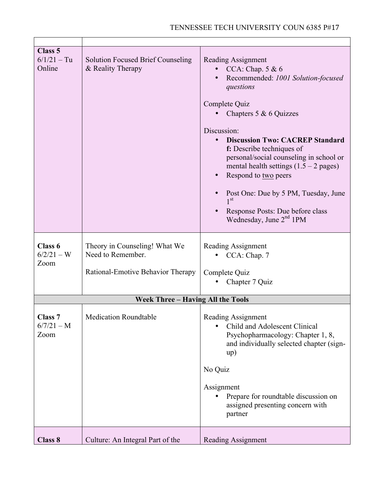| Class 5<br>$6/1/21 - Tu$<br>Online         | <b>Solution Focused Brief Counseling</b><br>& Reality Therapy                           | Reading Assignment<br>• CCA: Chap. $5 & 6$<br>Recommended: 1001 Solution-focused<br>questions<br>Complete Quiz<br>Chapters 5 & 6 Quizzes<br>Discussion:<br><b>Discussion Two: CACREP Standard</b><br>f: Describe techniques of<br>personal/social counseling in school or<br>mental health settings $(1.5 – 2$ pages)<br>Respond to two peers<br>Post One: Due by 5 PM, Tuesday, June<br>1 <sup>st</sup><br>Response Posts: Due before class<br>Wednesday, June $2nd$ 1PM |
|--------------------------------------------|-----------------------------------------------------------------------------------------|---------------------------------------------------------------------------------------------------------------------------------------------------------------------------------------------------------------------------------------------------------------------------------------------------------------------------------------------------------------------------------------------------------------------------------------------------------------------------|
| Class 6<br>$6/2/21 - W$<br>Zoom            | Theory in Counseling! What We<br>Need to Remember.<br>Rational-Emotive Behavior Therapy | Reading Assignment<br>CCA: Chap. 7<br>Complete Quiz<br>Chapter 7 Quiz                                                                                                                                                                                                                                                                                                                                                                                                     |
|                                            | <b>Week Three - Having All the Tools</b>                                                |                                                                                                                                                                                                                                                                                                                                                                                                                                                                           |
| Class <sub>7</sub><br>$6/7/21 - M$<br>Zoom | <b>Medication Roundtable</b>                                                            | Reading Assignment<br>Child and Adolescent Clinical<br>Psychopharmacology: Chapter 1, 8,<br>and individually selected chapter (sign-<br>up)<br>No Quiz<br>Assignment<br>Prepare for roundtable discussion on<br>assigned presenting concern with<br>partner                                                                                                                                                                                                               |
| <b>Class 8</b>                             | Culture: An Integral Part of the                                                        | Reading Assignment                                                                                                                                                                                                                                                                                                                                                                                                                                                        |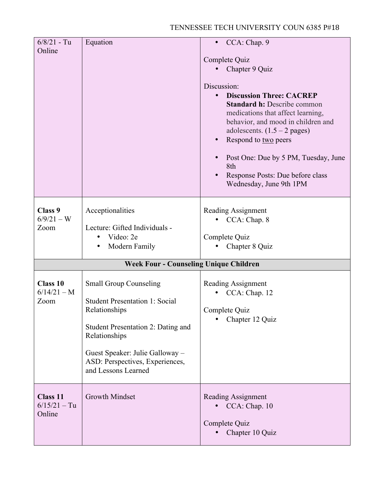| $6/8/21$ - Tu<br>Online                       | Equation                                                                                                                                                                                                                                    | CCA: Chap. 9<br>$\bullet$<br>Complete Quiz<br>Chapter 9 Quiz<br>Discussion:<br><b>Discussion Three: CACREP</b><br>$\bullet$<br><b>Standard h: Describe common</b><br>medications that affect learning,<br>behavior, and mood in children and<br>adolescents. $(1.5 – 2 pages)$<br>Respond to two peers<br>Post One: Due by 5 PM, Tuesday, June<br>8th<br>Response Posts: Due before class<br>Wednesday, June 9th 1PM |  |
|-----------------------------------------------|---------------------------------------------------------------------------------------------------------------------------------------------------------------------------------------------------------------------------------------------|----------------------------------------------------------------------------------------------------------------------------------------------------------------------------------------------------------------------------------------------------------------------------------------------------------------------------------------------------------------------------------------------------------------------|--|
| <b>Class 9</b><br>$6/9/21 - W$<br>Zoom        | Acceptionalities<br>Lecture: Gifted Individuals -<br>Video: 2e<br>Modern Family                                                                                                                                                             | Reading Assignment<br>CCA: Chap. 8<br>Complete Quiz<br>Chapter 8 Quiz                                                                                                                                                                                                                                                                                                                                                |  |
| <b>Week Four - Counseling Unique Children</b> |                                                                                                                                                                                                                                             |                                                                                                                                                                                                                                                                                                                                                                                                                      |  |
| <b>Class 10</b><br>$6/14/21 - M$<br>Zoom      | <b>Small Group Counseling</b><br><b>Student Presentation 1: Social</b><br>Relationships<br>Student Presentation 2: Dating and<br>Relationships<br>Guest Speaker: Julie Galloway –<br>ASD: Perspectives, Experiences,<br>and Lessons Learned | Reading Assignment<br>CCA: Chap. 12<br>Complete Quiz<br>Chapter 12 Quiz                                                                                                                                                                                                                                                                                                                                              |  |
| <b>Class 11</b><br>$6/15/21 - Tu$<br>Online   | <b>Growth Mindset</b>                                                                                                                                                                                                                       | Reading Assignment<br>CCA: Chap. 10<br>Complete Quiz<br>Chapter 10 Quiz                                                                                                                                                                                                                                                                                                                                              |  |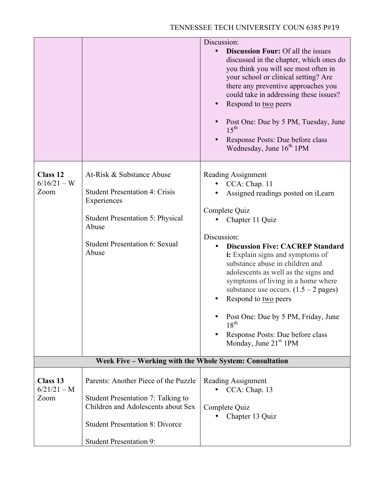|                                          |                                                                                                                                                                                              | Discussion:<br><b>Discussion Four: Of all the issues</b><br>discussed in the chapter, which ones do<br>you think you will see most often in<br>your school or clinical setting? Are<br>there any preventive approaches you<br>could take in addressing these issues?<br>Respond to two peers<br>Post One: Due by 5 PM, Tuesday, June<br>$15^{\text{th}}$<br>Response Posts: Due before class<br>Wednesday, June 16 <sup>th</sup> 1PM                                                                               |
|------------------------------------------|----------------------------------------------------------------------------------------------------------------------------------------------------------------------------------------------|--------------------------------------------------------------------------------------------------------------------------------------------------------------------------------------------------------------------------------------------------------------------------------------------------------------------------------------------------------------------------------------------------------------------------------------------------------------------------------------------------------------------|
| <b>Class 12</b><br>$6/16/21 - W$<br>Zoom | At-Risk & Substance Abuse<br><b>Student Presentation 4: Crisis</b><br>Experiences<br><b>Student Presentation 5: Physical</b><br>Abuse<br><b>Student Presentation 6: Sexual</b><br>Abuse      | Reading Assignment<br>CCA: Chap. 11<br>Assigned readings posted on iLearn<br>Complete Quiz<br>Chapter 11 Quiz<br>Discussion:<br><b>Discussion Five: CACREP Standard</b><br>i: Explain signs and symptoms of<br>substance abuse in children and<br>adolescents as well as the signs and<br>symptoms of living in a home where<br>substance use occurs. $(1.5 – 2 pages)$<br>Respond to two peers<br>Post One: Due by 5 PM, Friday, June<br>$18^{th}$<br>Response Posts: Due before class<br>Monday, June $21st 1PM$ |
|                                          | Week Five - Working with the Whole System: Consultation                                                                                                                                      |                                                                                                                                                                                                                                                                                                                                                                                                                                                                                                                    |
| Class 13<br>$6/21/21 - M$<br>Zoom        | Parents: Another Piece of the Puzzle<br>Student Presentation 7: Talking to<br>Children and Adolescents about Sex<br><b>Student Presentation 8: Divorce</b><br><b>Student Presentation 9:</b> | Reading Assignment<br>CCA: Chap. 13<br>Complete Quiz<br>Chapter 13 Quiz                                                                                                                                                                                                                                                                                                                                                                                                                                            |